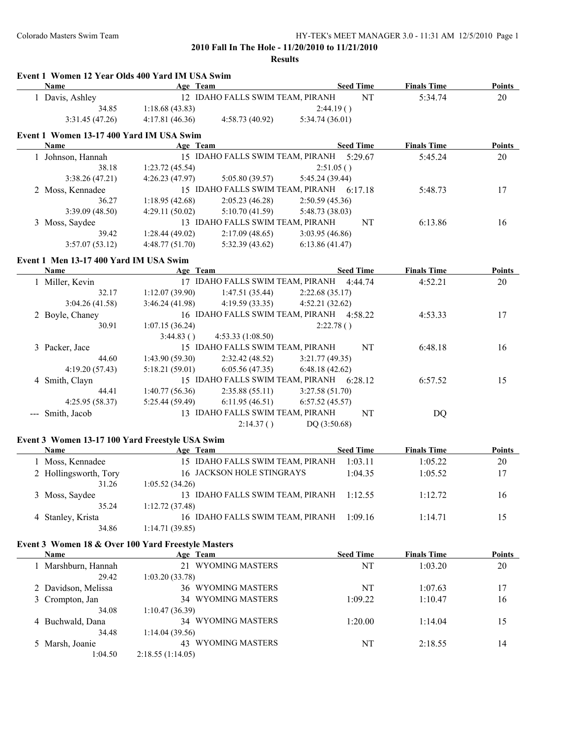|   | Event 1 Women 12 Year Olds 400 Yard IM USA Swim<br>Name           | Age Team                  |                                  | <b>Seed Time</b>                         | <b>Finals Time</b> | <b>Points</b> |
|---|-------------------------------------------------------------------|---------------------------|----------------------------------|------------------------------------------|--------------------|---------------|
|   | 1 Davis, Ashley                                                   |                           | 12 IDAHO FALLS SWIM TEAM, PIRANH | NT                                       | 5:34.74            | 20            |
|   | 34.85                                                             | 1:18.68(43.83)            |                                  | 2:44.19()                                |                    |               |
|   | 3:31.45(47.26)                                                    | 4:17.81(46.36)            | 4:58.73(40.92)                   | 5:34.74 (36.01)                          |                    |               |
|   |                                                                   |                           |                                  |                                          |                    |               |
|   | Event 1 Women 13-17 400 Yard IM USA Swim                          |                           |                                  |                                          |                    |               |
|   | <b>Name</b>                                                       | Age Team                  |                                  | <b>Seed Time</b>                         | <b>Finals Time</b> | <b>Points</b> |
|   | 1 Johnson, Hannah                                                 |                           |                                  | 15 IDAHO FALLS SWIM TEAM, PIRANH 5:29.67 | 5:45.24            | 20            |
|   | 38.18                                                             | 1:23.72(45.54)            |                                  | 2:51.05()                                |                    |               |
|   | 3:38.26(47.21)                                                    | 4:26.23(47.97)            | 5:05.80(39.57)                   | 5:45.24 (39.44)                          |                    |               |
|   | 2 Moss, Kennadee                                                  |                           |                                  | 15 IDAHO FALLS SWIM TEAM, PIRANH 6:17.18 | 5:48.73            | 17            |
|   | 36.27                                                             | 1:18.95(42.68)            | 2:05.23(46.28)                   | 2:50.59(45.36)                           |                    |               |
|   | 3:39.09(48.50)                                                    | 4:29.11(50.02)            | 5:10.70(41.59)                   | 5:48.73 (38.03)                          |                    |               |
|   | 3 Moss, Saydee                                                    |                           | 13 IDAHO FALLS SWIM TEAM, PIRANH | NT                                       | 6:13.86            | 16            |
|   | 39.42                                                             | 1:28.44(49.02)            | 2:17.09(48.65)                   | 3:03.95 (46.86)                          |                    |               |
|   | 3:57.07(53.12)                                                    | 4:48.77(51.70)            | 5:32.39(43.62)                   | 6:13.86(41.47)                           |                    |               |
|   | Event 1 Men 13-17 400 Yard IM USA Swim                            |                           |                                  |                                          |                    |               |
|   | Name                                                              | Age Team                  |                                  | <b>Seed Time</b>                         | <b>Finals Time</b> | <b>Points</b> |
|   | 1 Miller, Kevin                                                   |                           |                                  | 17 IDAHO FALLS SWIM TEAM, PIRANH 4:44.74 | 4:52.21            | 20            |
|   | 32.17                                                             | 1:12.07(39.90)            | 1:47.51(35.44)                   | 2:22.68(35.17)                           |                    |               |
|   | 3:04.26(41.58)                                                    | 3:46.24(41.98)            | 4:19.59(33.35)                   | 4:52.21(32.62)                           |                    |               |
|   | 2 Boyle, Chaney                                                   |                           |                                  | 16 IDAHO FALLS SWIM TEAM, PIRANH 4:58.22 | 4:53.33            | 17            |
|   | 30.91                                                             | 1:07.15(36.24)            |                                  | 2:22.78()                                |                    |               |
|   |                                                                   | 3:44.83()                 | 4:53.33(1:08.50)                 |                                          |                    |               |
|   | 3 Packer, Jace                                                    |                           | 15 IDAHO FALLS SWIM TEAM, PIRANH | NT                                       | 6:48.18            | 16            |
|   | 44.60                                                             | 1:43.90(59.30)            | 2:32.42(48.52)                   | 3:21.77(49.35)                           |                    |               |
|   | 4:19.20 (57.43)                                                   | 5:18.21(59.01)            | 6:05.56(47.35)                   | 6:48.18(42.62)                           |                    |               |
|   |                                                                   |                           |                                  | 15 IDAHO FALLS SWIM TEAM, PIRANH 6:28.12 | 6:57.52            | 15            |
|   | 4 Smith, Clayn<br>44.41                                           |                           |                                  |                                          |                    |               |
|   | 4:25.95 (58.37)                                                   | 1:40.77(56.36)            | 2:35.88(55.11)                   | 3:27.58(51.70)                           |                    |               |
|   |                                                                   | 5:25.44(59.49)            | 6:11.95(46.51)                   | 6:57.52(45.57)                           |                    |               |
|   | --- Smith, Jacob                                                  |                           | 13 IDAHO FALLS SWIM TEAM, PIRANH | NT                                       | DQ                 |               |
|   |                                                                   |                           | 2:14.37()                        | DQ (3:50.68)                             |                    |               |
|   | Event 3 Women 13-17 100 Yard Freestyle USA Swim                   |                           |                                  |                                          |                    |               |
|   | Name                                                              | <b>Example 2</b> Age Team |                                  | <b>Seed Time</b>                         | <b>Finals Time</b> | <b>Points</b> |
|   | 1 Moss, Kennadee                                                  |                           | 15 IDAHO FALLS SWIM TEAM, PIRANH | 1:03.11                                  | 1:05.22            | 20            |
|   | 2 Hollingsworth, Tory                                             |                           | 16 JACKSON HOLE STINGRAYS        | 1:04.35                                  | 1:05.52            | 17            |
|   | 31.26                                                             | 1:05.52(34.26)            |                                  |                                          |                    |               |
|   | 3 Moss, Saydee                                                    |                           | 13 IDAHO FALLS SWIM TEAM, PIRANH | 1:12.55                                  | 1:12.72            | 16            |
|   | 35.24                                                             | 1:12.72(37.48)            |                                  |                                          |                    |               |
|   | 4 Stanley, Krista                                                 |                           | 16 IDAHO FALLS SWIM TEAM, PIRANH | 1:09.16                                  | 1:14.71            | 15            |
|   | 34.86                                                             | 1:14.71(39.85)            |                                  |                                          |                    |               |
|   |                                                                   |                           |                                  |                                          |                    |               |
|   | Event 3 Women 18 & Over 100 Yard Freestyle Masters<br><b>Name</b> |                           |                                  | <b>Seed Time</b>                         | <b>Finals Time</b> | <b>Points</b> |
|   |                                                                   | Age Team                  | 21 WYOMING MASTERS               |                                          |                    |               |
|   | 1 Marshburn, Hannah                                               |                           |                                  | NT                                       | 1:03.20            | 20            |
|   | 29.42                                                             | 1:03.20 (33.78)           |                                  |                                          |                    |               |
|   | 2 Davidson, Melissa                                               |                           | 36 WYOMING MASTERS               | NT                                       | 1:07.63            | 17            |
|   | 3 Crompton, Jan                                                   |                           | 34 WYOMING MASTERS               | 1:09.22                                  | 1:10.47            | 16            |
|   | 34.08                                                             | 1:10.47(36.39)            |                                  |                                          |                    |               |
|   | 4 Buchwald, Dana                                                  |                           | 34 WYOMING MASTERS               | 1:20.00                                  | 1:14.04            | 15            |
|   | 34.48                                                             | 1:14.04(39.56)            |                                  |                                          |                    |               |
|   |                                                                   |                           |                                  |                                          |                    |               |
| 5 | Marsh, Joanie<br>1:04.50                                          |                           | 43 WYOMING MASTERS               | NT                                       | 2:18.55            | 14            |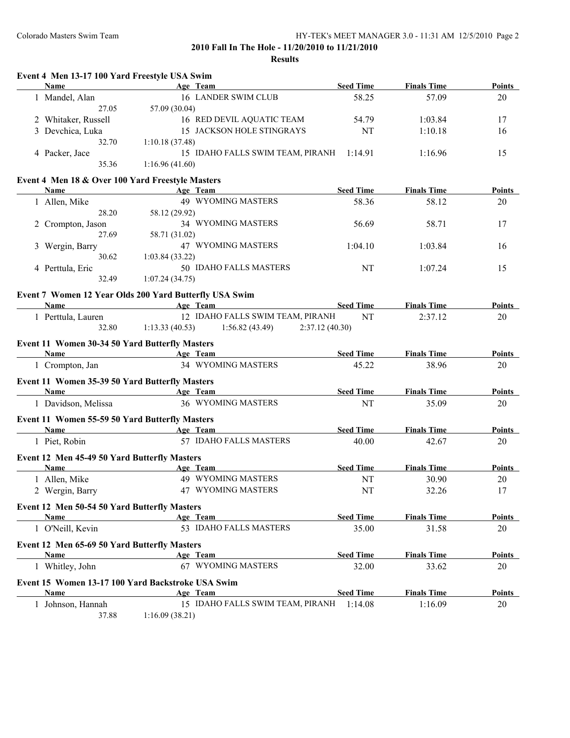### **Results**

| <b>Name</b>                                            |                           | Age Team                         | <b>Seed Time</b> | <b>Finals Time</b> | Points        |
|--------------------------------------------------------|---------------------------|----------------------------------|------------------|--------------------|---------------|
| 1 Mandel, Alan                                         |                           | 16 LANDER SWIM CLUB              | 58.25            | 57.09              | 20            |
| 27.05                                                  | 57.09 (30.04)             |                                  |                  |                    |               |
| 2 Whitaker, Russell                                    |                           | 16 RED DEVIL AQUATIC TEAM        | 54.79            | 1:03.84            | 17            |
| 3 Devchica, Luka                                       |                           | 15 JACKSON HOLE STINGRAYS        | NT               | 1:10.18            | 16            |
| 32.70                                                  | 1:10.18(37.48)            |                                  |                  |                    |               |
| 4 Packer, Jace                                         |                           | 15 IDAHO FALLS SWIM TEAM, PIRANH | 1:14.91          | 1:16.96            | 15            |
| 35.36                                                  | 1:16.96(41.60)            |                                  |                  |                    |               |
| Event 4 Men 18 & Over 100 Yard Freestyle Masters       |                           |                                  |                  |                    |               |
| Name                                                   |                           | Age Team                         | <b>Seed Time</b> | <b>Finals Time</b> | Points        |
| 1 Allen, Mike                                          |                           | 49 WYOMING MASTERS               | 58.36            | 58.12              | 20            |
| 28.20                                                  | 58.12 (29.92)             |                                  |                  |                    |               |
| 2 Crompton, Jason                                      |                           | 34 WYOMING MASTERS               | 56.69            | 58.71              | 17            |
| 27.69                                                  | 58.71 (31.02)             |                                  |                  |                    |               |
| 3 Wergin, Barry                                        |                           | 47 WYOMING MASTERS               | 1:04.10          | 1:03.84            | 16            |
| 30.62                                                  | 1:03.84(33.22)            |                                  |                  |                    |               |
| 4 Perttula, Eric                                       |                           | 50 IDAHO FALLS MASTERS           | NT               | 1:07.24            | 15            |
| 32.49                                                  | 1:07.24(34.75)            |                                  |                  |                    |               |
|                                                        |                           |                                  |                  |                    |               |
| Event 7 Women 12 Year Olds 200 Yard Butterfly USA Swim |                           |                                  |                  |                    |               |
| Name                                                   |                           | Age Team                         | <b>Seed Time</b> | <b>Finals Time</b> | <b>Points</b> |
| 1 Perttula, Lauren                                     |                           | 12 IDAHO FALLS SWIM TEAM, PIRANH | NT               | 2:37.12            | 20            |
| 32.80                                                  | 1:13.33(40.53)            | 1:56.82(43.49)<br>2:37.12(40.30) |                  |                    |               |
| Event 11 Women 30-34 50 Yard Butterfly Masters         |                           |                                  |                  |                    |               |
| Name                                                   |                           | Age Team                         | <b>Seed Time</b> | <b>Finals Time</b> | <b>Points</b> |
| 1 Crompton, Jan                                        |                           | 34 WYOMING MASTERS               | 45.22            | 38.96              | 20            |
|                                                        |                           |                                  |                  |                    |               |
| Event 11 Women 35-39 50 Yard Butterfly Masters         |                           |                                  |                  |                    |               |
| Name                                                   | <b>Example 2</b> Age Team |                                  | <b>Seed Time</b> | <b>Finals Time</b> | Points        |
| 1 Davidson, Melissa                                    |                           | 36 WYOMING MASTERS               | NT               | 35.09              | 20            |
| <b>Event 11 Women 55-59 50 Yard Butterfly Masters</b>  |                           |                                  |                  |                    |               |
| Name                                                   |                           | Age Team                         | <b>Seed Time</b> | <b>Finals Time</b> | <b>Points</b> |
| 1 Piet, Robin                                          |                           | 57 IDAHO FALLS MASTERS           | 40.00            | 42.67              | 20            |
| Event 12 Men 45-49 50 Yard Butterfly Masters           |                           |                                  |                  |                    |               |
| <b>Name</b>                                            |                           | Age Team                         | <b>Seed Time</b> | <b>Finals Time</b> | Points        |
| 1 Allen, Mike                                          |                           | 49 WYOMING MASTERS               | NT               | 30.90              | 20            |
|                                                        |                           | 47 WYOMING MASTERS               | $\rm{NT}$        |                    |               |
| 2 Wergin, Barry                                        |                           |                                  |                  | 32.26              | 17            |
| Event 12 Men 50-54 50 Yard Butterfly Masters           |                           |                                  |                  |                    |               |
| Name                                                   |                           | Age Team                         | <b>Seed Time</b> | <b>Finals Time</b> | Points        |
| 1 O'Neill, Kevin                                       |                           | 53 IDAHO FALLS MASTERS           | 35.00            | 31.58              | 20            |
| Event 12 Men 65-69 50 Yard Butterfly Masters           |                           |                                  |                  |                    |               |
| <b>Name</b>                                            |                           | Age Team                         | <b>Seed Time</b> | <b>Finals Time</b> | <b>Points</b> |
| 1 Whitley, John                                        |                           | 67 WYOMING MASTERS               | 32.00            | 33.62              | 20            |
|                                                        |                           |                                  |                  |                    |               |
| Event 15 Women 13-17 100 Yard Backstroke USA Swim      |                           |                                  |                  |                    |               |
| Name                                                   |                           | Age Team                         | <b>Seed Time</b> | <b>Finals Time</b> | Points        |
| 1 Johnson, Hannah                                      |                           | 15 IDAHO FALLS SWIM TEAM, PIRANH | 1:14.08          | 1:16.09            | 20            |

37.88 1:16.09 (38.21)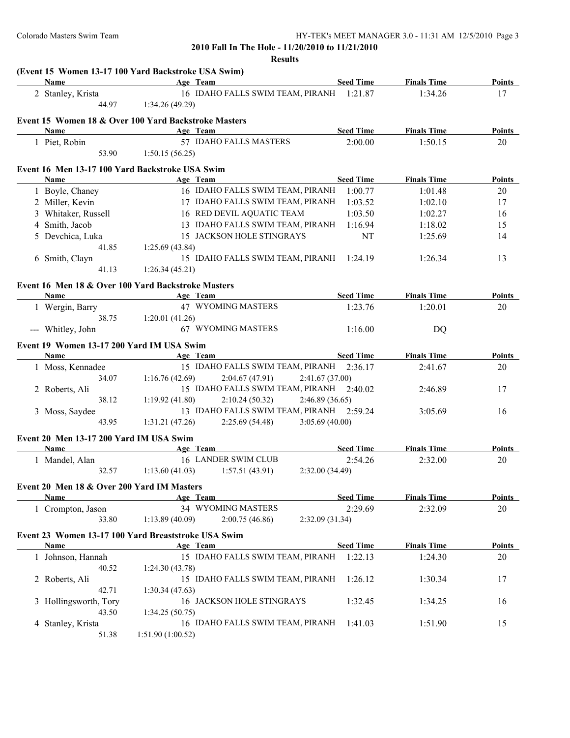| Name                                       | Age Team                                             | <b>Seed Time</b> | <b>Finals Time</b> | Points        |
|--------------------------------------------|------------------------------------------------------|------------------|--------------------|---------------|
| 2 Stanley, Krista                          | 16 IDAHO FALLS SWIM TEAM, PIRANH 1:21.87             |                  | 1:34.26            | 17            |
| 44.97                                      | 1:34.26(49.29)                                       |                  |                    |               |
|                                            | Event 15 Women 18 & Over 100 Yard Backstroke Masters |                  |                    |               |
| <b>Name</b>                                | Age Team                                             | <b>Seed Time</b> | <b>Finals Time</b> | Points        |
| 1 Piet, Robin                              | 57 IDAHO FALLS MASTERS                               | 2:00.00          | 1:50.15            | 20            |
| 53.90                                      | 1:50.15(56.25)                                       |                  |                    |               |
|                                            | Event 16 Men 13-17 100 Yard Backstroke USA Swim      |                  |                    |               |
| Name                                       | Age Team                                             | <b>Seed Time</b> | <b>Finals Time</b> | Points        |
| 1 Boyle, Chaney                            | 16 IDAHO FALLS SWIM TEAM, PIRANH                     | 1:00.77          | 1:01.48            | 20            |
| 2 Miller, Kevin                            | 17 IDAHO FALLS SWIM TEAM, PIRANH                     | 1:03.52          | 1:02.10            | 17            |
| 3 Whitaker, Russell                        | 16 RED DEVIL AQUATIC TEAM                            | 1:03.50          | 1:02.27            | 16            |
| 4 Smith, Jacob                             | 13 IDAHO FALLS SWIM TEAM, PIRANH                     | 1:16.94          | 1:18.02            | 15            |
| 5 Devchica, Luka                           | 15 JACKSON HOLE STINGRAYS                            | NT               | 1:25.69            | 14            |
| 41.85                                      | 1:25.69(43.84)                                       |                  |                    |               |
| 6 Smith, Clayn                             | 15 IDAHO FALLS SWIM TEAM, PIRANH                     | 1:24.19          | 1:26.34            | 13            |
| 41.13                                      | 1:26.34(45.21)                                       |                  |                    |               |
|                                            |                                                      |                  |                    |               |
|                                            | Event 16 Men 18 & Over 100 Yard Backstroke Masters   |                  |                    |               |
| Name                                       | Age Team                                             | <b>Seed Time</b> | <b>Finals Time</b> | Points        |
| 1 Wergin, Barry                            | 47 WYOMING MASTERS                                   | 1:23.76          | 1:20.01            | 20            |
| 38.75                                      | 1:20.01(41.26)                                       |                  |                    |               |
| --- Whitley, John                          | 67 WYOMING MASTERS                                   | 1:16.00          | DQ                 |               |
| Event 19 Women 13-17 200 Yard IM USA Swim  |                                                      |                  |                    |               |
| <b>Name</b>                                | Age Team                                             | <b>Seed Time</b> | <b>Finals Time</b> | Points        |
| 1 Moss, Kennadee                           | 15 IDAHO FALLS SWIM TEAM, PIRANH                     | 2:36.17          | 2:41.67            | 20            |
| 34.07                                      | 1:16.76(42.69)<br>2:04.67(47.91)<br>2:41.67(37.00)   |                  |                    |               |
| 2 Roberts, Ali                             | 15 IDAHO FALLS SWIM TEAM, PIRANH 2:40.02             |                  | 2:46.89            | 17            |
| 38.12                                      | 1:19.92(41.80)<br>2:10.24(50.32)<br>2:46.89(36.65)   |                  |                    |               |
| 3 Moss, Saydee                             | 13 IDAHO FALLS SWIM TEAM, PIRANH 2:59.24             |                  | 3:05.69            | 16            |
| 43.95                                      | 1:31.21(47.26)<br>2:25.69(54.48)<br>3:05.69(40.00)   |                  |                    |               |
| Event 20 Men 13-17 200 Yard IM USA Swim    |                                                      |                  |                    |               |
| Name                                       | Age Team                                             | <b>Seed Time</b> | <b>Finals Time</b> | Points        |
| 1 Mandel, Alan                             | 16 LANDER SWIM CLUB                                  | 2:54.26          | 2:32.00            | 20            |
| 32.57                                      | 1:13.60(41.03)<br>2:32.00(34.49)<br>1:57.51(43.91)   |                  |                    |               |
|                                            |                                                      |                  |                    |               |
| Event 20 Men 18 & Over 200 Yard IM Masters |                                                      |                  |                    |               |
| <b>Name</b>                                | Age Team                                             | <b>Seed Time</b> | <b>Finals Time</b> | <b>Points</b> |
| 1 Crompton, Jason                          | 34 WYOMING MASTERS                                   | 2:29.69          | 2:32.09            | 20            |
| 33.80                                      | 1:13.89(40.09)<br>2:00.75(46.86)<br>2:32.09(31.34)   |                  |                    |               |
|                                            | Event 23 Women 13-17 100 Yard Breaststroke USA Swim  |                  |                    |               |
| Name                                       | Age Team                                             | <b>Seed Time</b> | <b>Finals Time</b> | <b>Points</b> |
| 1 Johnson, Hannah                          | 15 IDAHO FALLS SWIM TEAM, PIRANH                     | 1:22.13          | 1:24.30            | 20            |
| 40.52                                      | 1:24.30(43.78)                                       |                  |                    |               |
| 2 Roberts, Ali                             | 15 IDAHO FALLS SWIM TEAM, PIRANH                     | 1:26.12          | 1:30.34            | 17            |
| 42.71                                      | 1:30.34(47.63)                                       |                  |                    |               |
| 3 Hollingsworth, Tory                      | 16 JACKSON HOLE STINGRAYS                            | 1:32.45          | 1:34.25            | 16            |
| 43.50                                      | 1:34.25(50.75)                                       |                  |                    |               |
| 4 Stanley, Krista                          | 16 IDAHO FALLS SWIM TEAM, PIRANH                     | 1:41.03          | 1:51.90            | 15            |
| 51.38                                      | 1:51.90 (1:00.52)                                    |                  |                    |               |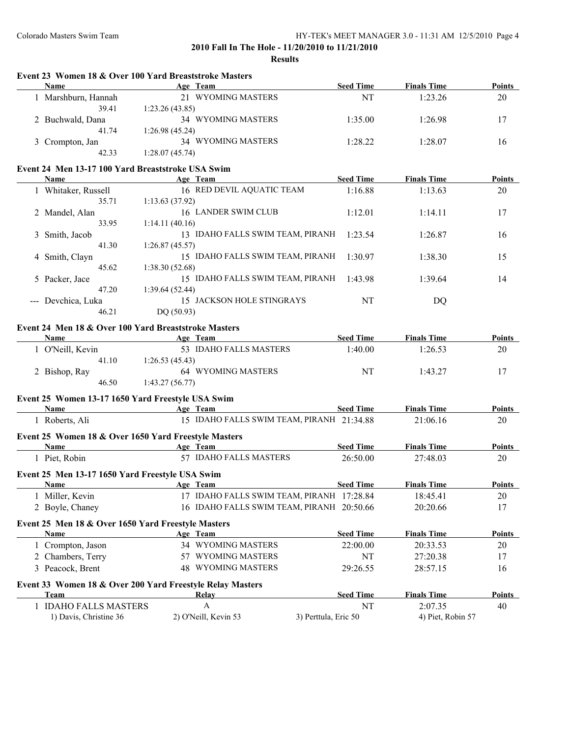**Event 23 Women 18 & Over 100 Yard Breaststroke Masters**

## **2010 Fall In The Hole - 11/20/2010 to 11/21/2010**

**Results**

| <b>Name</b>         | Age Team                                             | <b>Seed Time</b> | <b>Finals Time</b> | <b>Points</b> |
|---------------------|------------------------------------------------------|------------------|--------------------|---------------|
| 1 Marshburn, Hannah | 21 WYOMING MASTERS                                   | NT               | 1:23.26            | 20            |
| 39.41               | 1:23.26(43.85)                                       |                  |                    |               |
| 2 Buchwald, Dana    | 34 WYOMING MASTERS                                   | 1:35.00          | 1:26.98            | 17            |
| 41.74               | 1:26.98(45.24)                                       |                  |                    |               |
| 3 Crompton, Jan     | 34 WYOMING MASTERS                                   | 1:28.22          | 1:28.07            | 16            |
| 42.33               | 1:28.07(45.74)                                       |                  |                    |               |
|                     | Event 24 Men 13-17 100 Yard Breaststroke USA Swim    |                  |                    |               |
| Name                | Age Team                                             | <b>Seed Time</b> | <b>Finals Time</b> | <b>Points</b> |
| 1 Whitaker, Russell | 16 RED DEVIL AQUATIC TEAM                            | 1:16.88          | 1:13.63            | 20            |
| 35.71               | 1:13.63(37.92)                                       |                  |                    |               |
| 2 Mandel, Alan      | 16 LANDER SWIM CLUB                                  | 1:12.01          | 1:14.11            | 17            |
| 33.95               | 1:14.11(40.16)                                       |                  |                    |               |
| 3 Smith, Jacob      | 13 IDAHO FALLS SWIM TEAM, PIRANH                     | 1:23.54          | 1:26.87            | 16            |
| 41.30               | 1:26.87(45.57)                                       |                  |                    |               |
| 4 Smith, Clayn      | 15 IDAHO FALLS SWIM TEAM, PIRANH                     | 1:30.97          | 1:38.30            | 15            |
| 45.62               | 1:38.30(52.68)                                       |                  |                    |               |
| 5 Packer, Jace      | 15 IDAHO FALLS SWIM TEAM, PIRANH                     | 1:43.98          | 1:39.64            | 14            |
| 47.20               | 1:39.64(52.44)                                       |                  |                    |               |
| --- Devchica, Luka  | 15 JACKSON HOLE STINGRAYS                            | <b>NT</b>        | DO                 |               |
| 46.21               | DQ(50.93)                                            |                  |                    |               |
|                     | Event 24 Men 18 & Over 100 Yard Breaststroke Masters |                  |                    |               |
| <b>Name</b>         | Age Team                                             | <b>Seed Time</b> | <b>Finals Time</b> | Points        |
| 1 O'Neill, Kevin    | 53 IDAHO FALLS MASTERS                               | 1:40.00          | 1:26.53            | 20            |
| 41.10               | 1:26.53(45.43)                                       |                  |                    |               |
| 2 Bishop, Ray       | <b>64 WYOMING MASTERS</b>                            | NT               | 1:43.27            | 17            |
| 46.50               | 1:43.27(56.77)                                       |                  |                    |               |
|                     |                                                      |                  |                    |               |

### **Event 25 Women 13-17 1650 Yard Freestyle USA Swim**

| <b>Name</b>                                               | Age Team                         | <b>Seed Time</b>                          | <b>Finals Time</b> | Points        |
|-----------------------------------------------------------|----------------------------------|-------------------------------------------|--------------------|---------------|
| 1 Roberts, Ali                                            |                                  | 15 IDAHO FALLS SWIM TEAM, PIRANH 21:34.88 | 21:06.16           | 20            |
| Event 25 Women 18 & Over 1650 Yard Freestyle Masters      |                                  |                                           |                    |               |
| <b>Name</b>                                               | Age Team                         | <b>Seed Time</b>                          | <b>Finals Time</b> | <b>Points</b> |
| 1 Piet, Robin                                             | <b>IDAHO FALLS MASTERS</b><br>57 | 26:50.00                                  | 27:48.03           | 20            |
| Event 25 Men 13-17 1650 Yard Freestyle USA Swim           |                                  |                                           |                    |               |
| Name                                                      | Age Team                         | <b>Seed Time</b>                          | <b>Finals Time</b> | Points        |
| 1 Miller, Kevin                                           | 17                               | IDAHO FALLS SWIM TEAM, PIRANH 17:28.84    | 18:45.41           | 20            |
| 2 Boyle, Chaney                                           | 16 IDAHO FALLS SWIM TEAM, PIRANH | 20:50.66                                  | 20:20.66           | 17            |
| Event 25 Men 18 & Over 1650 Yard Freestyle Masters        |                                  |                                           |                    |               |
| Name                                                      | Age Team                         | <b>Seed Time</b>                          | <b>Finals Time</b> | Points        |
| 1 Crompton, Jason                                         | WYOMING MASTERS<br>34            | 22:00.00                                  | 20:33.53           | 20            |
| 2 Chambers, Terry                                         | <b>WYOMING MASTERS</b><br>57     | NT                                        | 27:20.38           | 17            |
| 3 Peacock, Brent                                          | <b>WYOMING MASTERS</b><br>48     | 29:26.55                                  | 28:57.15           | 16            |
| Event 33 Women 18 & Over 200 Yard Freestyle Relay Masters |                                  |                                           |                    |               |
| Team                                                      | Relay                            | <b>Seed Time</b>                          | <b>Finals Time</b> | Points        |
| 1 IDAHO FALLS MASTERS                                     | A                                | NT                                        | 2:07.35            | 40            |
| 1) Davis, Christine 36                                    | 2) O'Neill, Kevin 53             | 3) Perttula, Eric 50                      | 4) Piet, Robin 57  |               |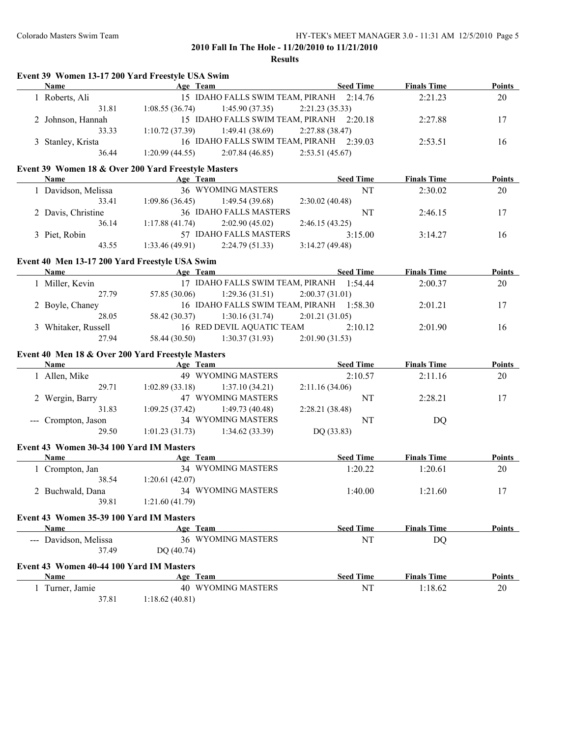**Finals Time Points** 

**Finals Time Points** 

#### **2010 Fall In The Hole - 11/20/2010 to 11/21/2010**

|                                                     |                                                          | Results                                  |                  |                    |               |
|-----------------------------------------------------|----------------------------------------------------------|------------------------------------------|------------------|--------------------|---------------|
| Event 39 Women 13-17 200 Yard Freestyle USA Swim    |                                                          |                                          |                  |                    |               |
| <b>Name</b>                                         | Age Team                                                 |                                          | <b>Seed Time</b> | <b>Finals Time</b> | <b>Points</b> |
| 1 Roberts, Ali                                      |                                                          | 15 IDAHO FALLS SWIM TEAM, PIRANH 2:14.76 |                  | 2:21.23            | 20            |
| 31.81                                               | 1:08.55(36.74)                                           | 1:45.90(37.35)                           | 2:21.23(35.33)   |                    |               |
| 2 Johnson, Hannah                                   |                                                          | 15 IDAHO FALLS SWIM TEAM, PIRANH         | 2:20.18          | 2:27.88            | 17            |
| 33.33                                               | 1:10.72(37.39)                                           | 1:49.41(38.69)                           | 2:27.88 (38.47)  |                    |               |
| 3 Stanley, Krista                                   |                                                          | 16 IDAHO FALLS SWIM TEAM, PIRANH         | 2:39.03          | 2:53.51            | 16            |
| 36.44                                               | 1:20.99(44.55)                                           | 2:07.84(46.85)                           | 2:53.51(45.67)   |                    |               |
| Event 39 Women 18 & Over 200 Yard Freestyle Masters |                                                          |                                          |                  |                    |               |
| Name                                                | Age Team                                                 |                                          | <b>Seed Time</b> | <b>Finals Time</b> | <b>Points</b> |
| 1 Davidson, Melissa                                 |                                                          | 36 WYOMING MASTERS                       | NT               | 2:30.02            | 20            |
| 33.41                                               | 1:09.86(36.45)                                           | 1:49.54(39.68)                           | 2:30.02(40.48)   |                    |               |
| 2 Davis, Christine                                  |                                                          | 36 IDAHO FALLS MASTERS                   | NT               | 2:46.15            | 17            |
| 36.14                                               | 1:17.88(41.74)                                           | 2:02.90(45.02)                           | 2:46.15(43.25)   |                    |               |
| 3 Piet, Robin                                       |                                                          | 57 IDAHO FALLS MASTERS                   | 3:15.00          | 3:14.27            | 16            |
| 43.55                                               | 1:33.46(49.91)                                           | 2:24.79(51.33)                           | 3:14.27(49.48)   |                    |               |
| Event 40 Men 13-17 200 Yard Freestyle USA Swim      |                                                          |                                          |                  |                    |               |
| Name                                                | Age Team<br>the control of the control of the control of |                                          | <b>Seed Time</b> | <b>Finals Time</b> | <b>Points</b> |
| 1 Miller, Kevin                                     |                                                          | 17 IDAHO FALLS SWIM TEAM, PIRANH 1:54.44 |                  | 2:00.37            | 20            |
| 27.79                                               | 57.85 (30.06)                                            | 1:29.36(31.51)                           | 2:00.37(31.01)   |                    |               |
| 2 Boyle, Chaney                                     |                                                          | 16 IDAHO FALLS SWIM TEAM, PIRANH 1:58.30 |                  |                    |               |
|                                                     |                                                          |                                          |                  | 2:01.21            | 17            |
| 28.05                                               | 58.42 (30.37)                                            | 1:30.16(31.74)                           | 2:01.21(31.05)   |                    |               |
| 3 Whitaker, Russell                                 |                                                          | 16 RED DEVIL AQUATIC TEAM                | 2:10.12          | 2:01.90            | 16            |
| 27.94                                               | 58.44 (30.50)                                            | 1:30.37(31.93)                           | 2:01.90 (31.53)  |                    |               |
| Event 40 Men 18 & Over 200 Yard Freestyle Masters   |                                                          |                                          |                  |                    |               |
| Name                                                | Age Team                                                 |                                          | <b>Seed Time</b> | <b>Finals Time</b> | <b>Points</b> |
| 1 Allen, Mike                                       |                                                          | <b>49 WYOMING MASTERS</b>                | 2:10.57          | 2:11.16            | 20            |
| 29.71                                               | 1:02.89(33.18)                                           | 1:37.10(34.21)                           | 2:11.16(34.06)   |                    |               |
| 2 Wergin, Barry                                     |                                                          | 47 WYOMING MASTERS                       | NT               | 2:28.21            | 17            |
| 31.83                                               | 1:09.25(37.42)                                           | 1:49.73(40.48)                           | 2:28.21 (38.48)  |                    |               |
| --- Crompton, Jason                                 |                                                          | 34 WYOMING MASTERS                       | NT               | DQ                 |               |
| 29.50                                               | 1:01.23(31.73)                                           | 1:34.62(33.39)                           | DQ (33.83)       |                    |               |
| Event 43 Women 30-34 100 Yard IM Masters            |                                                          |                                          |                  |                    |               |
| <b>Name</b>                                         | Age Team                                                 |                                          | <b>Seed Time</b> | <b>Finals Time</b> | <b>Points</b> |
| 1 Crompton, Jan                                     |                                                          | 34 WYOMING MASTERS                       | 1:20.22          | 1:20.61            | 20            |
| 38.54                                               | 1:20.61(42.07)                                           |                                          |                  |                    |               |
| 2 Buchwald, Dana                                    |                                                          | 34 WYOMING MASTERS                       | 1:40.00          | 1:21.60            | 17            |
| 39.81                                               | 1:21.60(41.79)                                           |                                          |                  |                    |               |
|                                                     |                                                          |                                          |                  |                    |               |
| Event 43 Women 35-39 100 Yard IM Masters            |                                                          |                                          |                  |                    |               |
| Name                                                | Age Team                                                 |                                          | <b>Seed Time</b> | <b>Finals Time</b> | <b>Points</b> |
| --- Davidson, Melissa                               |                                                          | 36 WYOMING MASTERS                       | NT               | DQ                 |               |
| 37.49                                               | DQ (40.74)                                               |                                          |                  |                    |               |
| Event 43 Women 40-44 100 Yard IM Masters            |                                                          |                                          |                  |                    |               |
| <b>Name</b>                                         | Age Team                                                 |                                          | <b>Seed Time</b> | <b>Finals Time</b> | <b>Points</b> |
| 1 Turner, Jamie                                     |                                                          | 40 WYOMING MASTERS                       | NT               | 1:18.62            | 20            |
| 37.81                                               | 1:18.62(40.81)                                           |                                          |                  |                    |               |
|                                                     |                                                          |                                          |                  |                    |               |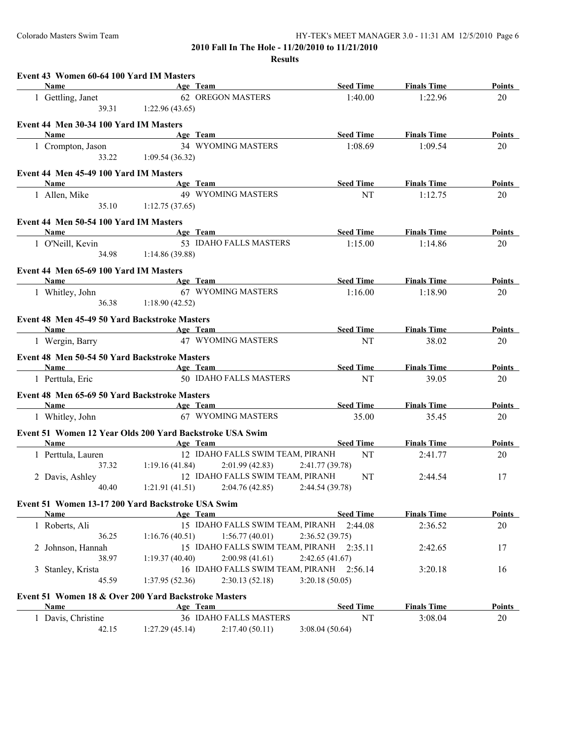| Name<br><u> 1989 - Johann Barn, amerikansk politiker (</u> | Event 43 Women 60-64 100 Yard IM Masters | Age Team                                              | <b>Seed Time</b> | <b>Finals Time</b> | <b>Points</b> |
|------------------------------------------------------------|------------------------------------------|-------------------------------------------------------|------------------|--------------------|---------------|
| 1 Gettling, Janet                                          |                                          | 62 OREGON MASTERS                                     | 1:40.00          | 1:22.96            | 20            |
|                                                            | 39.31 1:22.96 (43.65)                    |                                                       |                  |                    |               |
| Event 44 Men 30-34 100 Yard IM Masters                     |                                          |                                                       |                  |                    |               |
| Name                                                       |                                          | <b>Example 2018</b> Age Team                          | <b>Seed Time</b> | <b>Finals Time</b> | Points        |
|                                                            |                                          | 34 WYOMING MASTERS                                    | 1:08.69          |                    |               |
| 1 Crompton, Jason                                          | 33.22 1:09.54 (36.32)                    |                                                       |                  | 1:09.54            | 20            |
|                                                            |                                          |                                                       |                  |                    |               |
| Event 44 Men 45-49 100 Yard IM Masters                     |                                          |                                                       |                  |                    |               |
| <b>Name</b>                                                |                                          | <b>Age Team</b>                                       | <b>Seed Time</b> | <b>Finals Time</b> | Points        |
| 1 Allen, Mike                                              |                                          | 49 WYOMING MASTERS                                    | <b>NT</b>        | 1:12.75            | 20            |
|                                                            | 35.10 1:12.75 (37.65)                    |                                                       |                  |                    |               |
| Event 44 Men 50-54 100 Yard IM Masters                     |                                          |                                                       |                  |                    |               |
| <b>Name</b>                                                | <b>Example 21 Age Team</b>               |                                                       | <b>Seed Time</b> | <b>Finals Time</b> | Points        |
| 1 O'Neill, Kevin                                           |                                          | 53 IDAHO FALLS MASTERS                                | 1:15.00          | 1:14.86            | 20            |
|                                                            | 34.98 1:14.86 (39.88)                    |                                                       |                  |                    |               |
|                                                            |                                          |                                                       |                  |                    |               |
| Event 44 Men 65-69 100 Yard IM Masters                     |                                          |                                                       |                  |                    |               |
| Name                                                       | <b>Age Team</b>                          |                                                       | Seed Time        | <b>Finals Time</b> | <b>Points</b> |
| 1 Whitley, John                                            |                                          | 67 WYOMING MASTERS                                    | 1:16.00          | 1:18.90            | 20            |
|                                                            | 36.38 1:18.90 (42.52)                    |                                                       |                  |                    |               |
| Event 48 Men 45-49 50 Yard Backstroke Masters              |                                          |                                                       |                  |                    |               |
| Name Age Team                                              |                                          |                                                       | <b>Seed Time</b> | <b>Finals Time</b> | Points        |
|                                                            |                                          | 1 Wergin, Barry 47 WYOMING MASTERS                    | NT               | 38.02              | 20            |
|                                                            |                                          |                                                       |                  |                    |               |
|                                                            |                                          |                                                       |                  |                    |               |
| Event 48 Men 50-54 50 Yard Backstroke Masters              |                                          |                                                       |                  |                    |               |
| Name                                                       | <b>Age Team</b>                          |                                                       | <b>Seed Time</b> | <b>Finals Time</b> | Points        |
| 1 Perttula, Eric                                           |                                          | 50 IDAHO FALLS MASTERS                                | NT               | 39.05              | 20            |
|                                                            |                                          |                                                       |                  |                    |               |
| Event 48 Men 65-69 50 Yard Backstroke Masters              |                                          |                                                       |                  |                    |               |
| Name Age Team                                              |                                          |                                                       | <b>Seed Time</b> | <b>Finals Time</b> | Points        |
| 1 Whitley, John                                            |                                          | 67 WYOMING MASTERS                                    | 35.00            | 35.45              | 20            |
| Event 51 Women 12 Year Olds 200 Yard Backstroke USA Swim   |                                          |                                                       |                  |                    |               |
| <b>Name</b>                                                | <b>Example 2</b> Age Team                |                                                       | <b>Seed Time</b> | <b>Finals Time</b> | Points        |
| 1 Perttula, Lauren                                         |                                          | 12 IDAHO FALLS SWIM TEAM, PIRANH                      | NT               | 2:41.77            | 20            |
|                                                            |                                          | $37.32$ 1:19.16 (41.84) 2:01.99 (42.83)               | 2:41.77(39.78)   |                    |               |
| 2 Davis, Ashley                                            |                                          | 12 IDAHO FALLS SWIM TEAM, PIRANH                      | NT               | 2:44.54            | 17            |
|                                                            |                                          | 40.40 1:21.91 (41.51) 2:04.76 (42.85) 2:44.54 (39.78) |                  |                    |               |
|                                                            |                                          |                                                       |                  |                    |               |
| Event 51 Women 13-17 200 Yard Backstroke USA Swim          |                                          |                                                       |                  |                    |               |
| Name                                                       |                                          | Age Team                                              | <b>Seed Time</b> | <b>Finals Time</b> | <b>Points</b> |
| 1 Roberts, Ali                                             |                                          | 15 IDAHO FALLS SWIM TEAM, PIRANH                      | 2:44.08          | 2:36.52            | 20            |
| 36.25                                                      | 1:16.76(40.51)                           | 1:56.77(40.01)                                        | 2:36.52(39.75)   |                    |               |
| 2 Johnson, Hannah                                          |                                          | 15 IDAHO FALLS SWIM TEAM, PIRANH 2:35.11              |                  | 2:42.65            | 17            |
| 38.97                                                      | 1:19.37(40.40)                           | 2:00.98(41.61)                                        | 2:42.65 (41.67)  |                    |               |
| 3 Stanley, Krista                                          |                                          | 16 IDAHO FALLS SWIM TEAM, PIRANH 2:56.14              |                  | 3:20.18            | 16            |
| 45.59                                                      | 1:37.95(52.36)                           | 2:30.13(52.18)                                        | 3:20.18(50.05)   |                    |               |
| Event 51 Women 18 & Over 200 Yard Backstroke Masters       |                                          |                                                       |                  |                    |               |
| Name                                                       |                                          | Age Team                                              | <b>Seed Time</b> | <b>Finals Time</b> | <b>Points</b> |
| 1 Davis, Christine                                         |                                          | 36 IDAHO FALLS MASTERS                                | NT               | 3:08.04            | 20            |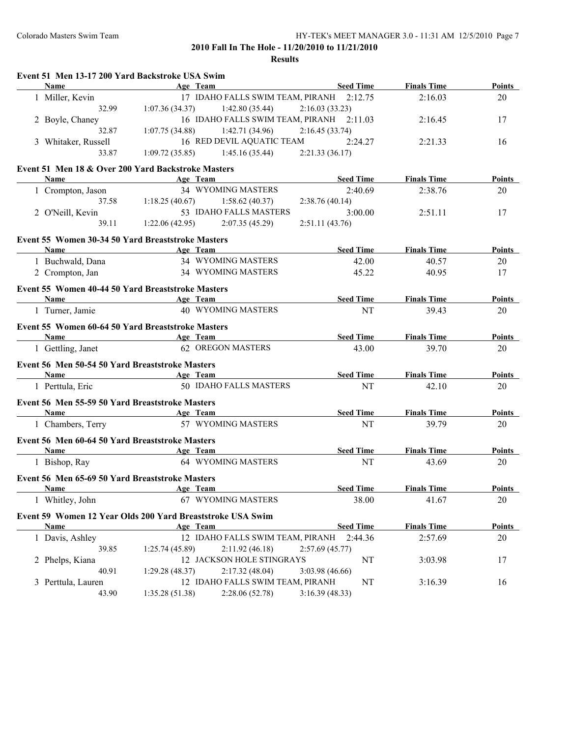| Event 51 Men 13-17 200 Yard Backstroke USA Swim            |                              |                                          |                  |                    |               |
|------------------------------------------------------------|------------------------------|------------------------------------------|------------------|--------------------|---------------|
| <b>Name</b>                                                |                              | Age Team                                 | <b>Seed Time</b> | <b>Finals Time</b> | Points        |
| 1 Miller, Kevin                                            |                              | 17 IDAHO FALLS SWIM TEAM, PIRANH 2:12.75 |                  | 2:16.03            | 20            |
| 32.99                                                      | 1:07.36(34.37)               | 1:42.80(35.44)                           | 2:16.03(33.23)   |                    |               |
| 2 Boyle, Chaney                                            |                              | 16 IDAHO FALLS SWIM TEAM, PIRANH 2:11.03 |                  | 2:16.45            | 17            |
| 32.87                                                      | 1:07.75(34.88)               | 1:42.71 (34.96)                          | 2:16.45(33.74)   |                    |               |
| 3 Whitaker, Russell                                        |                              | 16 RED DEVIL AQUATIC TEAM                | 2:24.27          | 2:21.33            | 16            |
| 33.87                                                      | 1:09.72(35.85)               | 1:45.16(35.44)                           | 2:21.33(36.17)   |                    |               |
| Event 51 Men 18 & Over 200 Yard Backstroke Masters         |                              |                                          |                  |                    |               |
| Name                                                       | Age Team                     |                                          | <b>Seed Time</b> | <b>Finals Time</b> | Points        |
| 1 Crompton, Jason                                          |                              | <b>34 WYOMING MASTERS</b>                | 2:40.69          | 2:38.76            | 20            |
| 37.58                                                      | 1:18.25(40.67)               | 1:58.62(40.37)                           | 2:38.76 (40.14)  |                    |               |
| 2 O'Neill, Kevin                                           |                              | 53 IDAHO FALLS MASTERS                   | 3:00.00          | 2:51.11            | 17            |
| 39.11                                                      |                              | $1:22.06(42.95)$ $2:07.35(45.29)$        | 2:51.11(43.76)   |                    |               |
|                                                            |                              |                                          |                  |                    |               |
| Event 55 Women 30-34 50 Yard Breaststroke Masters          |                              |                                          |                  |                    |               |
| <b>Name</b>                                                | <b>Example 2</b> Age Team    |                                          | <b>Seed Time</b> | <b>Finals Time</b> | Points        |
| 1 Buchwald, Dana                                           |                              | 34 WYOMING MASTERS                       | 42.00            | 40.57              | 20            |
| 2 Crompton, Jan                                            |                              | 34 WYOMING MASTERS                       | 45.22            | 40.95              | 17            |
| Event 55 Women 40-44 50 Yard Breaststroke Masters          |                              |                                          |                  |                    |               |
| Name                                                       |                              | Age Team                                 | <b>Seed Time</b> | <b>Finals Time</b> | Points        |
| 1 Turner, Jamie                                            |                              | 40 WYOMING MASTERS                       | NT               | 39.43              | 20            |
|                                                            |                              |                                          |                  |                    |               |
| Event 55 Women 60-64 50 Yard Breaststroke Masters          |                              |                                          |                  |                    |               |
| <b>Name</b>                                                | <b>Example 2</b> Age Team    |                                          | <b>Seed Time</b> | <b>Finals Time</b> | Points        |
| 1 Gettling, Janet                                          |                              | <b>62 OREGON MASTERS</b>                 | 43.00            | 39.70              | 20            |
| Event 56 Men 50-54 50 Yard Breaststroke Masters            |                              |                                          |                  |                    |               |
| Name                                                       | <b>Example 2</b> Age Team    |                                          | <b>Seed Time</b> | <b>Finals Time</b> | <b>Points</b> |
| 1 Perttula, Eric                                           |                              | 50 IDAHO FALLS MASTERS                   | NT               | 42.10              | 20            |
|                                                            |                              |                                          |                  |                    |               |
| Event 56 Men 55-59 50 Yard Breaststroke Masters            |                              |                                          |                  |                    |               |
| Name                                                       | <b>Age Team</b>              |                                          | <b>Seed Time</b> | <b>Finals Time</b> | Points        |
| 1 Chambers, Terry                                          |                              | 57 WYOMING MASTERS                       | NT               | 39.79              | 20            |
| Event 56 Men 60-64 50 Yard Breaststroke Masters            |                              |                                          |                  |                    |               |
| Name                                                       | <b>Example 2018</b> Age Team |                                          | <b>Seed Time</b> | <b>Finals Time</b> | <b>Points</b> |
| 1 Bishop, Ray                                              |                              | 64 WYOMING MASTERS                       | NT               | 43.69              | 20            |
| Event 56 Men 65-69 50 Yard Breaststroke Masters            |                              |                                          |                  |                    |               |
| <b>Name</b>                                                |                              | Age Team                                 | <b>Seed Time</b> | <b>Finals Time</b> | <b>Points</b> |
| 1 Whitley, John                                            |                              | 67 WYOMING MASTERS                       | 38.00            | 41.67              | 20            |
|                                                            |                              |                                          |                  |                    |               |
| Event 59 Women 12 Year Olds 200 Yard Breaststroke USA Swim |                              |                                          |                  |                    |               |
| Name                                                       |                              | Age Team                                 | <b>Seed Time</b> | <b>Finals Time</b> | <b>Points</b> |
| 1 Davis, Ashley                                            |                              | 12 IDAHO FALLS SWIM TEAM, PIRANH         | 2:44.36          | 2:57.69            | 20            |
| 39.85                                                      | 1:25.74(45.89)               | 2:11.92(46.18)                           | 2:57.69(45.77)   |                    |               |
| 2 Phelps, Kiana                                            |                              | 12 JACKSON HOLE STINGRAYS                | NT               | 3:03.98            | 17            |
| 40.91                                                      | 1:29.28(48.37)               | 2:17.32(48.04)                           | 3:03.98 (46.66)  |                    |               |
| 3 Perttula, Lauren                                         |                              | 12 IDAHO FALLS SWIM TEAM, PIRANH         | NT               | 3:16.39            | 16            |
| 43.90                                                      | 1:35.28(51.38)               | 2:28.06 (52.78)                          | 3:16.39(48.33)   |                    |               |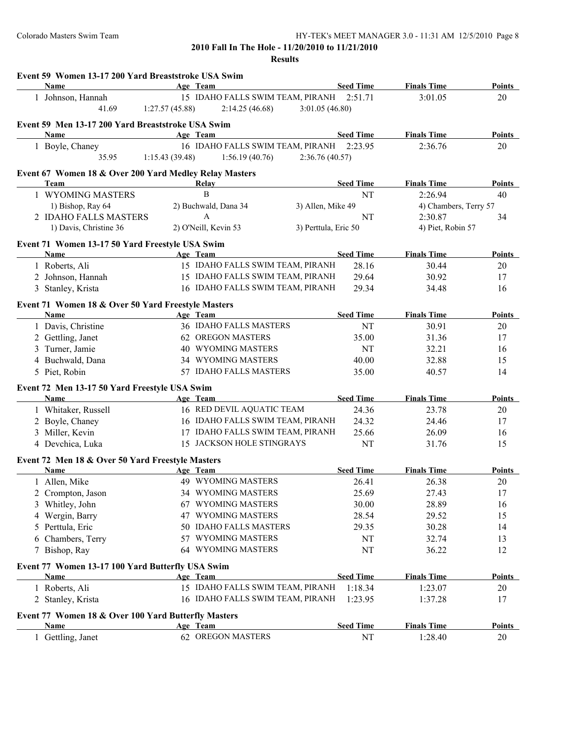|   | Event 59 Women 13-17 200 Yard Breaststroke USA Swim<br>Name |                |                                                      |                      |                  |                               | <b>Points</b> |
|---|-------------------------------------------------------------|----------------|------------------------------------------------------|----------------------|------------------|-------------------------------|---------------|
|   | 1 Johnson, Hannah                                           |                | Age Team<br>15 IDAHO FALLS SWIM TEAM, PIRANH 2:51.71 |                      | <b>Seed Time</b> | <b>Finals Time</b><br>3:01.05 | 20            |
|   | 41.69                                                       |                | 2:14.25(46.68)                                       |                      |                  |                               |               |
|   |                                                             | 1:27.57(45.88) |                                                      | 3:01.05(46.80)       |                  |                               |               |
|   | Event 59 Men 13-17 200 Yard Breaststroke USA Swim           |                |                                                      |                      |                  |                               |               |
|   | Name                                                        |                | Age Team                                             |                      | <b>Seed Time</b> | <b>Finals Time</b>            | <b>Points</b> |
|   | 1 Boyle, Chaney                                             |                | 16 IDAHO FALLS SWIM TEAM, PIRANH 2:23.95             |                      |                  | 2:36.76                       | 20            |
|   | 35.95                                                       | 1:15.43(39.48) | 1:56.19(40.76)                                       | 2:36.76(40.57)       |                  |                               |               |
|   | Event 67 Women 18 & Over 200 Yard Medley Relay Masters      |                |                                                      |                      |                  |                               |               |
|   | Team                                                        |                | Relay                                                |                      | <b>Seed Time</b> | <b>Finals Time</b>            | Points        |
|   | 1 WYOMING MASTERS                                           |                | B                                                    |                      | NT               | 2:26.94                       | 40            |
|   | 1) Bishop, Ray 64                                           |                | 2) Buchwald, Dana 34                                 | 3) Allen, Mike 49    |                  | 4) Chambers, Terry 57         |               |
|   | 2 IDAHO FALLS MASTERS                                       |                | $\mathbf{A}$                                         |                      | NT               | 2:30.87                       | 34            |
|   | 1) Davis, Christine 36                                      |                | 2) O'Neill, Kevin 53                                 | 3) Perttula, Eric 50 |                  | 4) Piet, Robin 57             |               |
|   | Event 71 Women 13-17 50 Yard Freestyle USA Swim             |                |                                                      |                      |                  |                               |               |
|   | Name                                                        |                | Age Team                                             |                      | <b>Seed Time</b> | <b>Finals Time</b>            | Points        |
|   | 1 Roberts, Ali                                              |                | 15 IDAHO FALLS SWIM TEAM, PIRANH                     |                      | 28.16            | 30.44                         | 20            |
|   | 2 Johnson, Hannah                                           |                | 15 IDAHO FALLS SWIM TEAM, PIRANH                     |                      | 29.64            | 30.92                         | 17            |
|   | 3 Stanley, Krista                                           |                | 16 IDAHO FALLS SWIM TEAM, PIRANH                     |                      | 29.34            | 34.48                         | 16            |
|   |                                                             |                |                                                      |                      |                  |                               |               |
|   | Event 71 Women 18 & Over 50 Yard Freestyle Masters          |                |                                                      |                      |                  |                               |               |
|   | Name                                                        |                | Age Team                                             |                      | <b>Seed Time</b> | <b>Finals Time</b>            | Points        |
|   | 1 Davis, Christine                                          |                | 36 IDAHO FALLS MASTERS                               |                      | NT               | 30.91                         | 20            |
|   | 2 Gettling, Janet                                           |                | 62 OREGON MASTERS                                    |                      | 35.00            | 31.36                         | 17            |
|   | 3 Turner, Jamie                                             |                | <b>40 WYOMING MASTERS</b>                            |                      | NT               | 32.21                         | 16            |
|   | 4 Buchwald, Dana                                            |                | 34 WYOMING MASTERS                                   |                      | 40.00            | 32.88                         | 15            |
|   | 5 Piet, Robin                                               |                | 57 IDAHO FALLS MASTERS                               |                      | 35.00            | 40.57                         | 14            |
|   | Event 72 Men 13-17 50 Yard Freestyle USA Swim               |                |                                                      |                      |                  |                               |               |
|   | Name                                                        |                | Age Team                                             |                      | <b>Seed Time</b> | <b>Finals Time</b>            | Points        |
|   | 1 Whitaker, Russell                                         |                | 16 RED DEVIL AQUATIC TEAM                            |                      | 24.36            | 23.78                         | 20            |
|   | 2 Boyle, Chaney                                             |                | 16 IDAHO FALLS SWIM TEAM, PIRANH                     |                      | 24.32            | 24.46                         | 17            |
|   | 3 Miller, Kevin                                             |                | 17 IDAHO FALLS SWIM TEAM, PIRANH                     |                      | 25.66            | 26.09                         | 16            |
|   | 4 Devchica, Luka                                            |                | 15 JACKSON HOLE STINGRAYS                            |                      | NT               | 31.76                         | 15            |
|   | Event 72 Men 18 & Over 50 Yard Freestyle Masters            |                |                                                      |                      |                  |                               |               |
|   | Name                                                        |                | Age Team                                             |                      | <b>Seed Time</b> | <b>Finals Time</b>            | <b>Points</b> |
|   | 1 Allen, Mike                                               |                | 49 WYOMING MASTERS                                   |                      | 26.41            | 26.38                         | 20            |
|   | 2 Crompton, Jason                                           |                | 34 WYOMING MASTERS                                   |                      | 25.69            | 27.43                         | 17            |
|   | 3 Whitley, John                                             |                | 67 WYOMING MASTERS                                   |                      | 30.00            | 28.89                         | 16            |
|   |                                                             | 47             | WYOMING MASTERS                                      |                      | 28.54            | 29.52                         | 15            |
| 4 | Wergin, Barry                                               |                | 50 IDAHO FALLS MASTERS                               |                      |                  |                               |               |
|   | 5 Perttula, Eric                                            |                | 57 WYOMING MASTERS                                   |                      | 29.35            | 30.28                         | 14            |
|   | 6 Chambers, Terry                                           |                |                                                      |                      | NT               | 32.74                         | 13            |
|   | 7 Bishop, Ray                                               |                | 64 WYOMING MASTERS                                   |                      | NT               | 36.22                         | 12            |
|   | Event 77 Women 13-17 100 Yard Butterfly USA Swim            |                |                                                      |                      |                  |                               |               |
|   | Name                                                        |                | Age Team                                             |                      | <b>Seed Time</b> | <b>Finals Time</b>            | <b>Points</b> |
|   | 1 Roberts, Ali                                              |                | 15 IDAHO FALLS SWIM TEAM, PIRANH                     |                      | 1:18.34          | 1:23.07                       | 20            |
|   | 2 Stanley, Krista                                           |                | 16 IDAHO FALLS SWIM TEAM, PIRANH                     |                      | 1:23.95          | 1:37.28                       | 17            |
|   | Event 77 Women 18 & Over 100 Yard Butterfly Masters         |                |                                                      |                      |                  |                               |               |
|   | Name                                                        |                | Age Team                                             |                      | <b>Seed Time</b> | <b>Finals Time</b>            | <b>Points</b> |
|   | 1 Gettling, Janet                                           |                | 62 OREGON MASTERS                                    |                      | NT               | 1:28.40                       | 20            |
|   |                                                             |                |                                                      |                      |                  |                               |               |